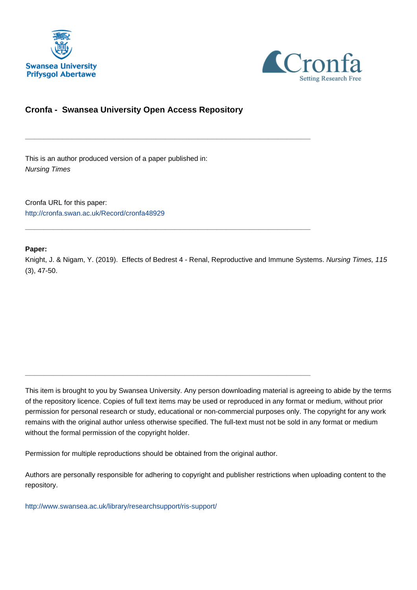



### **Cronfa - Swansea University Open Access Repository**

\_\_\_\_\_\_\_\_\_\_\_\_\_\_\_\_\_\_\_\_\_\_\_\_\_\_\_\_\_\_\_\_\_\_\_\_\_\_\_\_\_\_\_\_\_\_\_\_\_\_\_\_\_\_\_\_\_\_\_\_\_

\_\_\_\_\_\_\_\_\_\_\_\_\_\_\_\_\_\_\_\_\_\_\_\_\_\_\_\_\_\_\_\_\_\_\_\_\_\_\_\_\_\_\_\_\_\_\_\_\_\_\_\_\_\_\_\_\_\_\_\_\_

\_\_\_\_\_\_\_\_\_\_\_\_\_\_\_\_\_\_\_\_\_\_\_\_\_\_\_\_\_\_\_\_\_\_\_\_\_\_\_\_\_\_\_\_\_\_\_\_\_\_\_\_\_\_\_\_\_\_\_\_\_

This is an author produced version of a paper published in: Nursing Times

Cronfa URL for this paper: <http://cronfa.swan.ac.uk/Record/cronfa48929>

### **Paper:**

Knight, J. & Nigam, Y. (2019). Effects of Bedrest 4 - Renal, Reproductive and Immune Systems. Nursing Times, 115 (3), 47-50.

This item is brought to you by Swansea University. Any person downloading material is agreeing to abide by the terms of the repository licence. Copies of full text items may be used or reproduced in any format or medium, without prior permission for personal research or study, educational or non-commercial purposes only. The copyright for any work remains with the original author unless otherwise specified. The full-text must not be sold in any format or medium without the formal permission of the copyright holder.

Permission for multiple reproductions should be obtained from the original author.

Authors are personally responsible for adhering to copyright and publisher restrictions when uploading content to the repository.

[http://www.swansea.ac.uk/library/researchsupport/ris-support/](http://www.swansea.ac.uk/library/researchsupport/ris-support/ )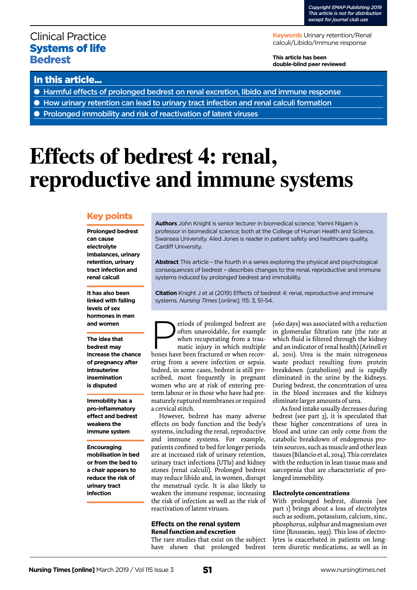# Clinical Practice Systems of life Bedrest

**Keywords** Urinary retention/Renal calculi/Libido/Immune response

**This article has been double-blind peer reviewed**

### In this article...

- Harmful effects of prolonged bedrest on renal excretion, libido and immune response
- How urinary retention can lead to urinary tract infection and renal calculi formation
- Prolonged immobility and risk of reactivation of latent viruses

# **Effects of bedrest 4: renal, reproductive and immune systems**

### Key points

**Prolonged bedrest can cause electrolyte imbalances, urinary retention, urinary tract infection and renal calculi** 

**It has also been linked with falling levels of sex hormones in men and women** 

**The idea that bedrest may increase the chance of pregnancy after intrauterine insemination is disputed**

**Immobility has a pro-inflammatory effect and bedrest weakens the immune system**

**Encouraging mobilisation in bed or from the bed to a chair appears to reduce the risk of urinary tract infection** 

**Authors** John Knight is senior lecturer in biomedical science; Yamni Nigam is professor in biomedical science; both at the College of Human Health and Science, Swansea University. Aled Jones is reader in patient safety and healthcare quality, Cardiff University.

**Abstract** This article – the fourth in a series exploring the physical and psychological consequences of bedrest – describes changes to the renal, reproductive and immune systems induced by prolonged bedrest and immobility.

**Citation** Knight J et al (2019) Effects of bedrest 4: renal, reproductive and immune systems. *Nursing Times* [online]; 115: 3, 51-54.

eriods of prolonged bedrest are<br>often unavoidable, for example<br>when recuperating from a trau-<br>matic injury in which multiple<br>bones have been fractured or when recovoften unavoidable, for example when recuperating from a trau-

matic injury in which multiple bones have been fractured or when recovering from a severe infection or sepsis. Indeed, in some cases, bedrest is still prescribed, most frequently in pregnant women who are at risk of entering preterm labour or in those who have had prematurely ruptured membranes or required a cervical stitch.

However, bedrest has many adverse effects on body function and the body's systems, including the renal, reproductive and immune systems. For example, patients confined to bed for longer periods are at increased risk of urinary retention, urinary tract infections (UTIs) and kidney stones (renal calculi). Prolonged bedrest may reduce libido and, in women, disrupt the menstrual cycle. It is also likely to weaken the immune response, increasing the risk of infection as well as the risk of reactivation of latent viruses.

### **Effects on the renal system Renal function and excretion**

The rare studies that exist on the subject have shown that prolonged bedrest

(≥60 days) was associated with a reduction in glomerular filtration rate (the rate at which fluid is filtered through the kidney and an indicator of renal health) (Arinell et al, 2011). Urea is the main nitrogenous waste product resulting from protein breakdown (catabolism) and is rapidly eliminated in the urine by the kidneys. During bedrest, the concentration of urea in the blood increases and the kidneys eliminate larger amounts of urea.

As food intake usually decreases during bedrest (see part 3), it is speculated that these higher concentrations of urea in blood and urine can only come from the catabolic breakdown of endogenous protein sources, such as muscle and other lean tissues (Bilancio et al, 2014). This correlates with the reduction in lean tissue mass and sarcopenia that are characteristic of prolonged immobility.

### **Electrolyte concentrations**

With prolonged bedrest, diuresis (see part 1) brings about a loss of electrolytes such as sodium, potassium, calcium, zinc, phosphorus, sulphur and magnesium over time (Rousseau, 1993). This loss of electrolytes is exacerbated in patients on longterm diuretic medications, as well as in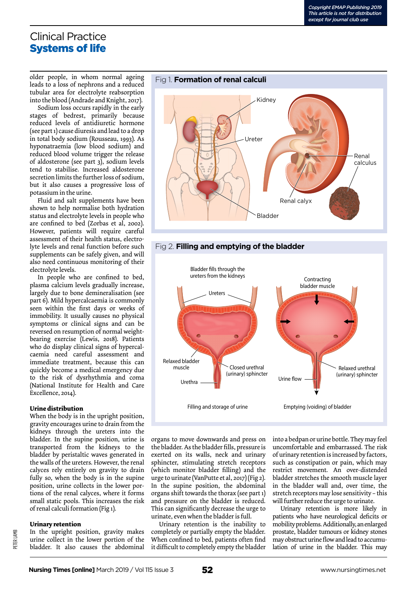# Clinical Practice Systems of life

older people, in whom normal ageing leads to a loss of nephrons and a reduced tubular area for electrolyte reabsorption into the blood (Andrade and Knight, 2017).

Sodium loss occurs rapidly in the early stages of bedrest, primarily because reduced levels of antidiuretic hormone (see part 1) cause diuresis and lead to a drop in total body sodium (Rousseau, 1993). As hyponatraemia (low blood sodium) and reduced blood volume trigger the release of aldosterone (see part 3), sodium levels tend to stabilise. Increased aldosterone secretion limits the further loss of sodium, but it also causes a progressive loss of potassium in the urine.

Fluid and salt supplements have been shown to help normalise both hydration status and electrolyte levels in people who are confined to bed (Zorbas et al, 2002). However, patients will require careful assessment of their health status, electrolyte levels and renal function before such supplements can be safely given, and will also need continuous monitoring of their electrolyte levels.

In people who are confined to bed, plasma calcium levels gradually increase, largely due to bone demineralisation (see part 6). Mild hypercalcaemia is commonly seen within the first days or weeks of immobility. It usually causes no physical symptoms or clinical signs and can be reversed on resumption of normal weightbearing exercise (Lewis, 2018). Patients who do display clinical signs of hypercalcaemia need careful assessment and immediate treatment, because this can quickly become a medical emergency due to the risk of dysrhythmia and coma (National Institute for Health and Care Excellence, 2014).

### **Urine distribution**

When the body is in the upright position, gravity encourages urine to drain from the kidneys through the ureters into the bladder. In the supine position, urine is transported from the kidneys to the bladder by peristaltic waves generated in the walls of the ureters. However, the renal calyces rely entirely on gravity to drain fully so, when the body is in the supine position, urine collects in the lower portions of the renal calyces, where it forms small static pools. This increases the risk of renal calculi formation (Fig 1).

### **Urinary retention**

In the upright position, gravity makes urine collect in the lower portion of the bladder. It also causes the abdominal





organs to move downwards and press on the bladder. As the bladder fills, pressure is exerted on its walls, neck and urinary sphincter, stimulating stretch receptors (which monitor bladder filling) and the urge to urinate (VanPutte et al, 2017) (Fig 2). In the supine position, the abdominal organs shift towards the thorax (see part 1) and pressure on the bladder is reduced. This can significantly decrease the urge to urinate, even when the bladder is full.

Urinary retention is the inability to completely or partially empty the bladder. When confined to bed, patients often find it difficult to completely empty the bladder

into a bedpan or urine bottle. They may feel uncomfortable and embarrassed. The risk of urinary retention is increased by factors, such as constipation or pain, which may restrict movement. An over-distended bladder stretches the smooth muscle layer in the bladder wall and, over time, the stretch receptors may lose sensitivity – this will further reduce the urge to urinate.

Urinary retention is more likely in patients who have neurological deficits or mobility problems. Additionally, an enlarged prostate, bladder tumours or kidney stones may obstruct urine flow and lead to accumulation of urine in the bladder. This may

# Fig 1. **Formation of renal calculi**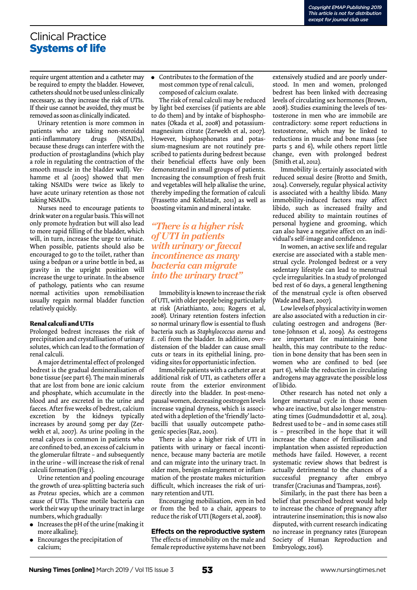# Clinical Practice Systems of life

require urgent attention and a catheter may be required to empty the bladder. However, catheters should not be used unless clinically necessary, as they increase the risk of UTIs. If their use cannot be avoided, they must be removed as soon as clinically indicated.

Urinary retention is more common in patients who are taking non-steroidal anti-inflammatory drugs (NSAIDs), because these drugs can interfere with the production of prostaglandins (which play a role in regulating the contraction of the smooth muscle in the bladder wall). Verhamme et al (2005) showed that men taking NSAIDs were twice as likely to have acute urinary retention as those not taking NSAIDs.

Nurses need to encourage patients to drink water on a regular basis. This will not only promote hydration but will also lead to more rapid filling of the bladder, which will, in turn, increase the urge to urinate. When possible, patients should also be encouraged to go to the toilet, rather than using a bedpan or a urine bottle in bed, as gravity in the upright position will increase the urge to urinate. In the absence of pathology, patients who can resume normal activities upon remobilisation usually regain normal bladder function relatively quickly.

#### **Renal calculi and UTIs**

Prolonged bedrest increases the risk of precipitation and crystallisation of urinary solutes, which can lead to the formation of renal calculi.

A major detrimental effect of prolonged bedrest is the gradual demineralisation of bone tissue (see part 6). The main minerals that are lost from bone are ionic calcium and phosphate, which accumulate in the blood and are excreted in the urine and faeces. After five weeks of bedrest, calcium excretion by the kidneys typically increases by around 50mg per day (Zerwekh et al, 2007). As urine pooling in the renal calyces is common in patients who are confined to bed, an excess of calcium in the glomerular filtrate – and subsequently in the urine – will increase the risk of renal calculi formation (Fig 1).

Urine retention and pooling encourage the growth of urea-splitting bacteria such as *Proteus* species, which are a common cause of UTIs. These motile bacteria can work their way up the urinary tract in large numbers, which gradually:

- Increases the pH of the urine (making it more alkaline);
- **•** Encourages the precipitation of calcium;

 $\bullet$  Contributes to the formation of the most common type of renal calculi, composed of calcium oxalate.

The risk of renal calculi may be reduced by light bed exercises (if patients are able to do them) and by intake of bisphosphonates (Okada et al, 2008) and potassiummagnesium citrate (Zerwekh et al, 2007). However, bisphosphonates and potassium-magnesium are not routinely prescribed to patients during bedrest because their beneficial effects have only been demonstrated in small groups of patients. Increasing the consumption of fresh fruit and vegetables will help alkalise the urine, thereby impeding the formation of calculi (Frassetto and Kohlstadt, 2011) as well as boosting vitamin and mineral intake.

### *"There is a higher risk of UTI in patients with urinary or faecal incontinence as many bacteria can migrate into the urinary tract"*

Immobility is known to increase the risk of UTI, with older people being particularly at risk (Ariathianto, 2011; Rogers et al, 2008). Urinary retention fosters infection so normal urinary flow is essential to flush bacteria such as *Staphylococcus aureus* and *E. coli* from the bladder. In addition, overdistension of the bladder can cause small cuts or tears in its epithelial lining, providing sites for opportunistic infection.

Immobile patients with a catheter are at additional risk of UTI, as catheters offer a route from the exterior environment directly into the bladder. In post-menopausal women, decreasing oestrogen levels increase vaginal dryness, which is associated with a depletion of the 'friendly' lactobacilli that usually outcompete pathogenic species (Raz, 2001).

There is also a higher risk of UTI in patients with urinary or faecal incontinence, because many bacteria are motile and can migrate into the urinary tract. In older men, benign enlargement or inflammation of the prostate makes micturition difficult, which increases the risk of urinary retention and UTI.

Encouraging mobilisation, even in bed or from the bed to a chair, appears to reduce the risk of UTI (Rogers et al, 2008).

### **Effects on the reproductive system**

The effects of immobility on the male and female reproductive systems have not been extensively studied and are poorly understood. In men and women, prolonged bedrest has been linked with decreasing levels of circulating sex hormones (Brown, 2008). Studies examining the levels of testosterone in men who are immobile are contradictory: some report reductions in testosterone, which may be linked to reductions in muscle and bone mass (see parts 5 and 6), while others report little change, even with prolonged bedrest (Smith et al, 2012).

Immobility is certainly associated with reduced sexual desire (Brotto and Smith, 2014). Conversely, regular physical activity is associated with a healthy libido. Many immobility-induced factors may affect libido, such as increased frailty and reduced ability to maintain routines of personal hygiene and grooming, which can also have a negative affect on an individual's self-image and confidence.

In women, an active sex life and regular exercise are associated with a stable menstrual cycle. Prolonged bedrest or a very sedentary lifestyle can lead to menstrual cycle irregularities. In a study of prolonged bed rest of 60 days, a general lengthening of the menstrual cycle is often observed (Wade and Baer, 2007).

Low levels of physical activity in women are also associated with a reduction in circulating oestrogen and androgens (Bertone-Johnson et al, 2009). As oestrogens are important for maintaining bone health, this may contribute to the reduction in bone density that has been seen in women who are confined to bed (see part 6), while the reduction in circulating androgens may aggravate the possible loss of libido.

Other research has noted not only a longer menstrual cycle in those women who are inactive, but also longer menstruating times (Gudmundsdottir et al, 2014). Bedrest used to be – and in some cases still is – prescribed in the hope that it will increase the chance of fertilisation and implantation when assisted reproduction methods have failed. However, a recent systematic review shows that bedrest is actually detrimental to the chances of a successful pregnancy after embryo transfer (Craciunas and Tsampras, 2016).

Similarly, in the past there has been a belief that prescribed bedrest would help to increase the chance of pregnancy after intrauterine insemination; this is now also disputed, with current research indicating no increase in pregnancy rates (European Society of Human Reproduction and Embryology, 2016).